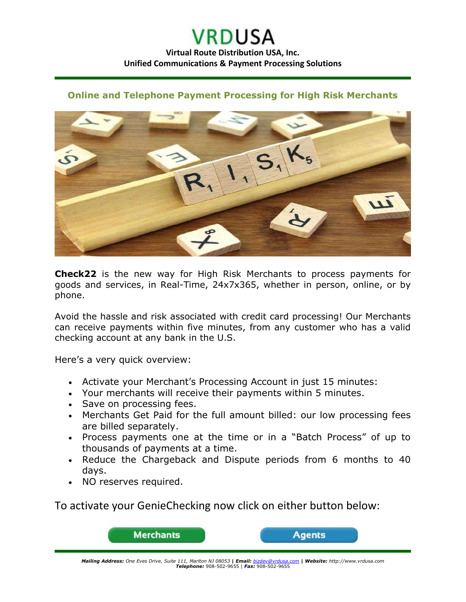## **VRDUSA Virtual Route Distribution USA, Inc. Unified Communications & Payment Processing Solutions**

## **Online and Telephone Payment Processing for High Risk Merchants**



**Check22** is the new way for High Risk Merchants to process payments for goods and services, in Real-Time, 24x7x365, whether in person, online, or by phone.

Avoid the hassle and risk associated with credit card processing! Our Merchants can receive payments within five minutes, from any customer who has a valid checking account at any bank in the U.S.

Here's a very quick overview:

- Activate your Merchant's Processing Account in just 15 minutes:
- Your merchants will receive their payments within 5 minutes.
- Save on processing fees.
- Merchants Get Paid for the full amount billed: our low processing fees are billed separately.
- Process payments one at the time or in a "Batch Process" of up to thousands of payments at a time.
- Reduce the Chargeback and Dispute periods from 6 months to 40 days.
- NO reserves required.

To activate your GenieChecking now click on either button below:



*Mailing Address: One Eves Drive, Suite 111, Marlton NJ 08053* **|** *Email: [bizdev@vrdusa.com](mailto:bizdev@vrdusa.com)* **|** *Website: http://www.vrdusa.com Telephone:* 908-502-9655 | *Fax:* 908-502-9655